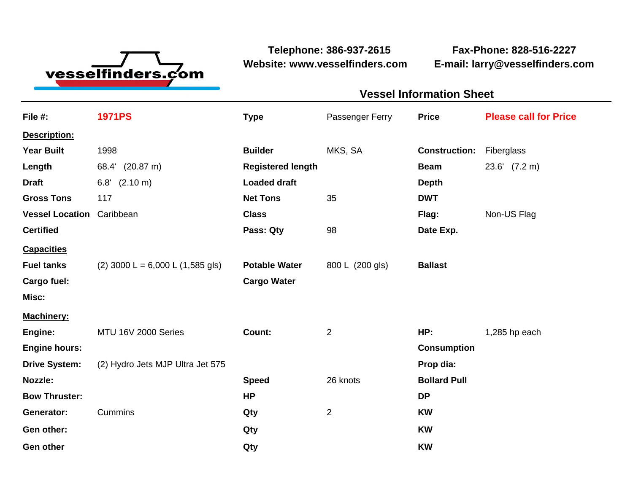

**Website: www.vesselfinders.com E-mail: larry@vesselfinders.com**

**Telephone: 386-937-2615 Fax-Phone: 828-516-2227**

## **Vessel Information Sheet Vessel Information Sheet**

| File #:                          | <b>1971PS</b>                        | <b>Type</b>              | Passenger Ferry | <b>Price</b>         | <b>Please call for Price</b> |
|----------------------------------|--------------------------------------|--------------------------|-----------------|----------------------|------------------------------|
| Description:                     |                                      |                          |                 |                      |                              |
| <b>Year Built</b>                | 1998                                 | <b>Builder</b>           | MKS, SA         | <b>Construction:</b> | Fiberglass                   |
| Length                           | 68.4' (20.87 m)                      | <b>Registered length</b> |                 | <b>Beam</b>          | 23.6' (7.2 m)                |
| <b>Draft</b>                     | $(2.10 \text{ m})$<br>6.8'           | <b>Loaded draft</b>      |                 | <b>Depth</b>         |                              |
| <b>Gross Tons</b>                | 117                                  | <b>Net Tons</b>          | 35              | <b>DWT</b>           |                              |
| <b>Vessel Location</b> Caribbean |                                      | <b>Class</b>             |                 | Flag:                | Non-US Flag                  |
| <b>Certified</b>                 |                                      | Pass: Qty                | 98              | Date Exp.            |                              |
| <b>Capacities</b>                |                                      |                          |                 |                      |                              |
| <b>Fuel tanks</b>                | $(2)$ 3000 L = 6,000 L $(1,585$ gls) | <b>Potable Water</b>     | 800 L (200 gls) | <b>Ballast</b>       |                              |
| Cargo fuel:                      |                                      | <b>Cargo Water</b>       |                 |                      |                              |
| Misc:                            |                                      |                          |                 |                      |                              |
| Machinery:                       |                                      |                          |                 |                      |                              |
| Engine:                          | MTU 16V 2000 Series                  | Count:                   | $\overline{2}$  | HP:                  | 1,285 hp each                |
| <b>Engine hours:</b>             |                                      |                          |                 | <b>Consumption</b>   |                              |
| <b>Drive System:</b>             | (2) Hydro Jets MJP Ultra Jet 575     |                          |                 | Prop dia:            |                              |
| Nozzle:                          |                                      | <b>Speed</b>             | 26 knots        | <b>Bollard Pull</b>  |                              |
| <b>Bow Thruster:</b>             |                                      | <b>HP</b>                |                 | <b>DP</b>            |                              |
| <b>Generator:</b>                | Cummins                              | Qty                      | $\overline{2}$  | <b>KW</b>            |                              |
| Gen other:                       |                                      | Qty                      |                 | <b>KW</b>            |                              |
| <b>Gen other</b>                 |                                      | Qty                      |                 | <b>KW</b>            |                              |